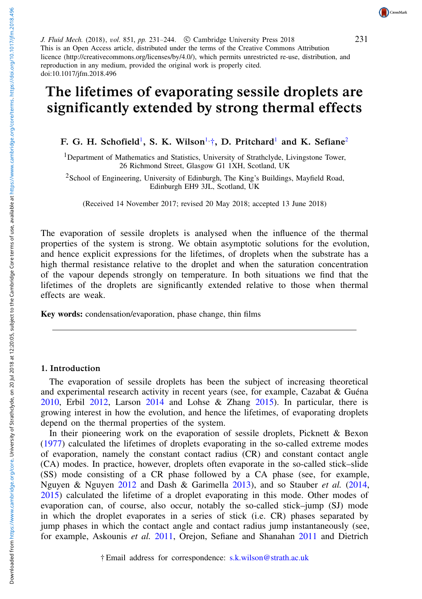231

J. Fluid Mech. (2018), vol. 851, pp. 231-244. © Cambridge University Press 2018 This is an Open Access article, distributed under the terms of the Creative Commons Attribution licence (http://creativecommons.org/licenses/by/4.0/), which permits unrestricted re-use, distribution, and reproduction in any medium, provided the original work is properly cited. doi:10.1017/jfm.2018.496

# The lifetimes of evaporating sessile droplets are significantly extended by strong thermal effects

F. G. H. Schofield<sup>[1](#page-0-0)</sup>, S. K. [Wilson](http://orcid.org/0000-0001-7841-9643)<sup>[1,](#page-0-0)  $\dagger$ </sup>, D. [Pritchard](http://orcid.org/0000-0002-9235-7052)<sup>1</sup> and K. Sefiane<sup>[2](#page-0-2)</sup>

<span id="page-0-0"></span><sup>1</sup>Department of Mathematics and Statistics, University of Strathclyde, Livingstone Tower, 26 Richmond Street, Glasgow G1 1XH, Scotland, UK

<span id="page-0-2"></span><sup>2</sup>School of Engineering, University of Edinburgh, The King's Buildings, Mayfield Road, Edinburgh EH9 3JL, Scotland, UK

(Received 14 November 2017; revised 20 May 2018; accepted 13 June 2018)

The evaporation of sessile droplets is analysed when the influence of the thermal properties of the system is strong. We obtain asymptotic solutions for the evolution, and hence explicit expressions for the lifetimes, of droplets when the substrate has a high thermal resistance relative to the droplet and when the saturation concentration of the vapour depends strongly on temperature. In both situations we find that the lifetimes of the droplets are significantly extended relative to those when thermal effects are weak.

Key words: condensation/evaporation, phase change, thin films

#### 1. Introduction

The evaporation of sessile droplets has been the subject of increasing theoretical and experimental research activity in recent years (see, for example, Cazabat & Guéna [2010,](#page-12-0) Erbil [2012,](#page-12-1) Larson [2014](#page-12-2) and Lohse & Zhang [2015\)](#page-13-0). In particular, there is growing interest in how the evolution, and hence the lifetimes, of evaporating droplets depend on the thermal properties of the system.

<span id="page-0-1"></span>In their pioneering work on the evaporation of sessile droplets, Picknett & Bexon [\(1977\)](#page-13-1) calculated the lifetimes of droplets evaporating in the so-called extreme modes of evaporation, namely the constant contact radius (CR) and constant contact angle (CA) modes. In practice, however, droplets often evaporate in the so-called stick–slide (SS) mode consisting of a CR phase followed by a CA phase (see, for example, Nguyen & Nguyen [2012](#page-13-2) and Dash & Garimella [2013\)](#page-12-3), and so Stauber *et al.* [\(2014,](#page-13-3) [2015\)](#page-13-4) calculated the lifetime of a droplet evaporating in this mode. Other modes of evaporation can, of course, also occur, notably the so-called stick–jump (SJ) mode in which the droplet evaporates in a series of stick (i.e. CR) phases separated by jump phases in which the contact angle and contact radius jump instantaneously (see, for example, Askounis *et al.* [2011,](#page-12-4) Orejon, Sefiane and Shanahan [2011](#page-13-5) and Dietrich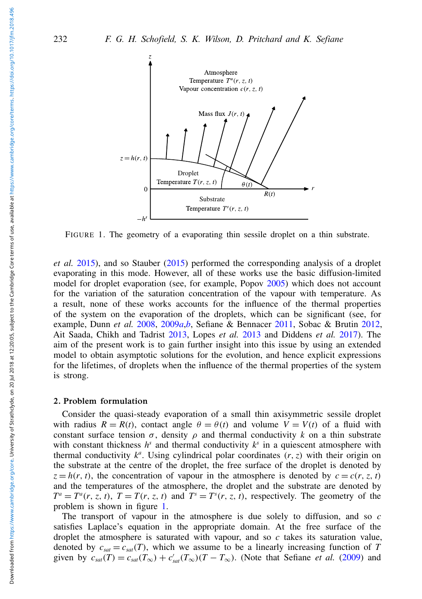<span id="page-1-0"></span>

FIGURE 1. The geometry of a evaporating thin sessile droplet on a thin substrate.

*et al.* [2015\)](#page-12-5), and so Stauber [\(2015\)](#page-13-6) performed the corresponding analysis of a droplet evaporating in this mode. However, all of these works use the basic diffusion-limited model for droplet evaporation (see, for example, Popov [2005\)](#page-13-7) which does not account for the variation of the saturation concentration of the vapour with temperature. As a result, none of these works accounts for the influence of the thermal properties of the system on the evaporation of the droplets, which can be significant (see, for example, Dunn *et al.* [2008,](#page-12-6) [2009](#page-12-7)*a*,*[b](#page-12-8)*, Sefiane & Bennacer [2011,](#page-13-8) Sobac & Brutin [2012,](#page-13-9) Ait Saada, Chikh and Tadrist [2013,](#page-12-9) Lopes *et al.* [2013](#page-13-10) and Diddens *et al.* [2017\)](#page-12-10). The aim of the present work is to gain further insight into this issue by using an extended model to obtain asymptotic solutions for the evolution, and hence explicit expressions for the lifetimes, of droplets when the influence of the thermal properties of the system is strong.

### <span id="page-1-1"></span>2. Problem formulation

Consider the quasi-steady evaporation of a small thin axisymmetric sessile droplet with radius  $R = R(t)$ , contact angle  $\theta = \theta(t)$  and volume  $V = V(t)$  of a fluid with constant surface tension  $\sigma$ , density  $\rho$  and thermal conductivity k on a thin substrate with constant thickness  $h^s$  and thermal conductivity  $k^s$  in a quiescent atmosphere with thermal conductivity  $k^a$ . Using cylindrical polar coordinates  $(r, z)$  with their origin on the substrate at the centre of the droplet, the free surface of the droplet is denoted by  $z = h(r, t)$ , the concentration of vapour in the atmosphere is denoted by  $c = c(r, z, t)$ and the temperatures of the atmosphere, the droplet and the substrate are denoted by  $T^a = T^a(r, z, t)$ ,  $T = T(r, z, t)$  and  $T^s = T^s(r, z, t)$ , respectively. The geometry of the problem is shown in figure [1.](#page-1-0)

The transport of vapour in the atmosphere is due solely to diffusion, and so *c* satisfies Laplace's equation in the appropriate domain. At the free surface of the droplet the atmosphere is saturated with vapour, and so *c* takes its saturation value, denoted by  $c_{sat} = c_{sat}(T)$ , which we assume to be a linearly increasing function of T given by  $c_{sat}(T) = c_{sat}(T_{\infty}) + c'_{sat}(T_{\infty})(T - T_{\infty})$ . (Note that Sefiane *et al.* [\(2009\)](#page-13-11) and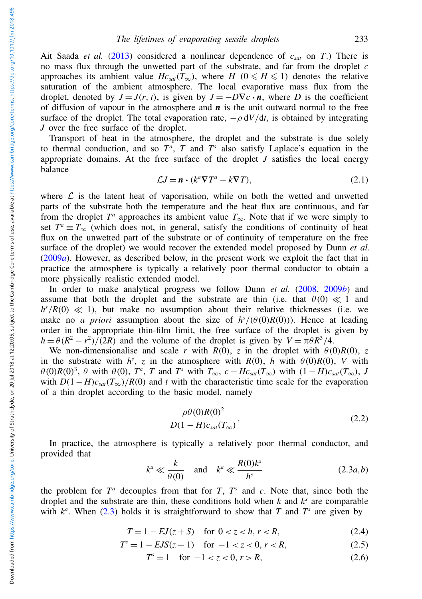Ait Saada *et al.* [\(2013\)](#page-12-9) considered a nonlinear dependence of  $c_{sat}$  on *T*.) There is no mass flux through the unwetted part of the substrate, and far from the droplet *c* approaches its ambient value  $Hc_{sat}(T_{\infty})$ , where  $H$  ( $0 \le H \le 1$ ) denotes the relative saturation of the ambient atmosphere. The local evaporative mass flux from the droplet, denoted by  $J = J(r, t)$ , is given by  $J = -D\nabla c \cdot \mathbf{n}$ , where *D* is the coefficient of diffusion of vapour in the atmosphere and  $\bf{n}$  is the unit outward normal to the free surface of the droplet. The total evaporation rate,  $-\rho dV/dt$ , is obtained by integrating *J* over the free surface of the droplet.

Transport of heat in the atmosphere, the droplet and the substrate is due solely to thermal conduction, and so  $T^a$ , T and  $T^s$  also satisfy Laplace's equation in the appropriate domains. At the free surface of the droplet *J* satisfies the local energy balance

$$
\mathcal{L}J = \mathbf{n} \cdot (k^a \nabla T^a - k \nabla T), \tag{2.1}
$$

where  $\mathcal L$  is the latent heat of vaporisation, while on both the wetted and unwetted parts of the substrate both the temperature and the heat flux are continuous, and far from the droplet  $T^a$  approaches its ambient value  $T_{\infty}$ . Note that if we were simply to set  $T^a \equiv T_{\infty}$  (which does not, in general, satisfy the conditions of continuity of heat flux on the unwetted part of the substrate or of continuity of temperature on the free surface of the droplet) we would recover the extended model proposed by Dunn *et al.* [\(2009](#page-12-7)*a*). However, as described below, in the present work we exploit the fact that in practice the atmosphere is typically a relatively poor thermal conductor to obtain a more physically realistic extended model.

In order to make analytical progress we follow Dunn *et al.* [\(2008,](#page-12-6) [2009](#page-12-8)*b*) and assume that both the droplet and the substrate are thin (i.e. that  $\theta(0) \ll 1$  and  $h^{s}/R(0) \ll 1$ ), but make no assumption about their relative thicknesses (i.e. we make no *a priori* assumption about the size of  $h^s/(\theta(0)R(0))$ . Hence at leading order in the appropriate thin-film limit, the free surface of the droplet is given by  $h = \theta(R^2 - r^2)/(2R)$  and the volume of the droplet is given by  $V = \pi \theta R^3/4$ .

We non-dimensionalise and scale *r* with  $R(0)$ , *z* in the droplet with  $\theta(0)R(0)$ , *z* in the substrate with  $h^s$ , *z* in the atmosphere with  $R(0)$ , *h* with  $\theta(0)R(0)$ , *V* with  $\theta$ (0)*R*(0)<sup>3</sup>,  $\theta$  with  $\theta$ (0),  $T^a$ , *T* and  $T^s$  with  $T_{\infty}$ ,  $c - Hc_{sat}(T_{\infty})$  with  $(1 - H)c_{sat}(T_{\infty})$ , *J* with  $D(1-H)c_{sat}(T_{\infty})/R(0)$  and *t* with the characteristic time scale for the evaporation of a thin droplet according to the basic model, namely

<span id="page-2-3"></span>
$$
\frac{\rho\theta(0)R(0)^2}{D(1-H)c_{sat}(T_\infty)}.\tag{2.2}
$$

In practice, the atmosphere is typically a relatively poor thermal conductor, and provided that

<span id="page-2-0"></span>
$$
k^a \ll \frac{k}{\theta(0)}
$$
 and  $k^a \ll \frac{R(0)k^s}{h^s}$  (2.3*a*,*b*)

the problem for  $T^a$  decouples from that for  $T$ ,  $T^s$  and  $c$ . Note that, since both the droplet and the substrate are thin, these conditions hold when  $k$  and  $k^s$  are comparable with  $k^a$ . When [\(2.3\)](#page-2-0) holds it is straightforward to show that *T* and  $T^s$  are given by

<span id="page-2-1"></span>
$$
T = 1 - EJ(z + S) \quad \text{for } 0 < z < h, r < R,\tag{2.4}
$$

<span id="page-2-2"></span>
$$
Ts = 1 - EJS(z + 1) \quad \text{for } -1 < z < 0, r < R,\tag{2.5}
$$

$$
T^s = 1 \quad \text{for } -1 < z < 0, \, r > R,\tag{2.6}
$$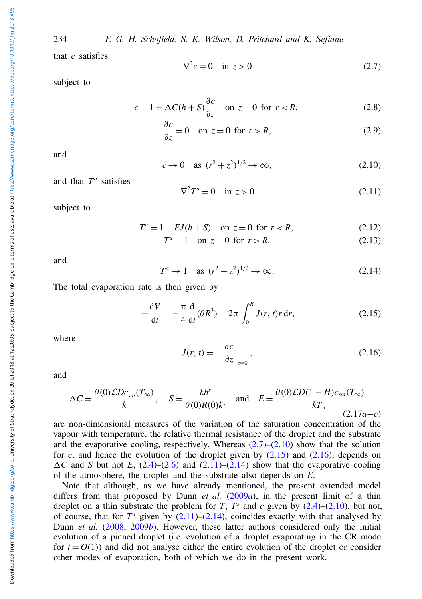234 F. G. H. Schofield, S. K. Wilson, D. Pritchard and K. Sefiane

that *c* satisfies

<span id="page-3-0"></span>
$$
\nabla^2 c = 0 \quad \text{in } z > 0 \tag{2.7}
$$

subject to

$$
c = 1 + \Delta C (h + S) \frac{\partial c}{\partial z} \quad \text{on } z = 0 \text{ for } r < R,\tag{2.8}
$$

$$
\frac{\partial c}{\partial z} = 0 \quad \text{on } z = 0 \text{ for } r > R,
$$
\n(2.9)

and

<span id="page-3-1"></span>
$$
c \to 0
$$
 as  $(r^2 + z^2)^{1/2} \to \infty$ , (2.10)

and that  $T^a$  satisfies

<span id="page-3-4"></span>
$$
\nabla^2 T^a = 0 \quad \text{in } z > 0 \tag{2.11}
$$

subject to

$$
T^a = 1 - EJ(h+S) \quad \text{on } z = 0 \text{ for } r < R,\tag{2.12}
$$

<span id="page-3-5"></span> $T^a = 1$  on  $z = 0$  for  $r > R$ , (2.13)

and

$$
T^a \to 1 \quad \text{as } (r^2 + z^2)^{1/2} \to \infty. \tag{2.14}
$$

The total evaporation rate is then given by

<span id="page-3-2"></span>
$$
-\frac{dV}{dt} = -\frac{\pi}{4} \frac{d}{dt} (\theta R^3) = 2\pi \int_0^R J(r, t) r \, dr,
$$
\n(2.15)

where

<span id="page-3-3"></span> $J(r, t) = -\frac{\partial c}{\partial t}$ ∂*z*  $\Big|$ <sub>z=0</sub>  $(2.16)$ 

and

$$
\Delta C = \frac{\theta(0)\mathcal{L}Dc'_{sat}(T_{\infty})}{k}, \quad S = \frac{kh^s}{\theta(0)R(0)k^s} \quad \text{and} \quad E = \frac{\theta(0)\mathcal{L}D(1-H)c_{sat}(T_{\infty})}{kT_{\infty}} \tag{2.17a-c}
$$

are non-dimensional measures of the variation of the saturation concentration of the vapour with temperature, the relative thermal resistance of the droplet and the substrate and the evaporative cooling, respectively. Whereas  $(2.7)$ – $(2.10)$  show that the solution for  $c$ , and hence the evolution of the droplet given by  $(2.15)$  and  $(2.16)$ , depends on  $\Delta C$  and *S* but not *E*, [\(2.4\)](#page-2-1)–[\(2.6\)](#page-2-2) and [\(2.11\)](#page-3-4)–[\(2.14\)](#page-3-5) show that the evaporative cooling of the atmosphere, the droplet and the substrate also depends on *E*.

Note that although, as we have already mentioned, the present extended model differs from that proposed by Dunn *et al.* [\(2009](#page-12-7)*a*), in the present limit of a thin droplet on a thin substrate the problem for *T*,  $T^s$  and  $c$  given by  $(2.4)$ – $(2.10)$ , but not, of course, that for  $T^a$  given by  $(2.11)$ – $(2.14)$ , coincides exactly with that analysed by Dunn *et al.* [\(2008,](#page-12-6) [2009](#page-12-8)*b*). However, these latter authors considered only the initial evolution of a pinned droplet (i.e. evolution of a droplet evaporating in the CR mode for  $t = O(1)$ ) and did not analyse either the entire evolution of the droplet or consider other modes of evaporation, both of which we do in the present work.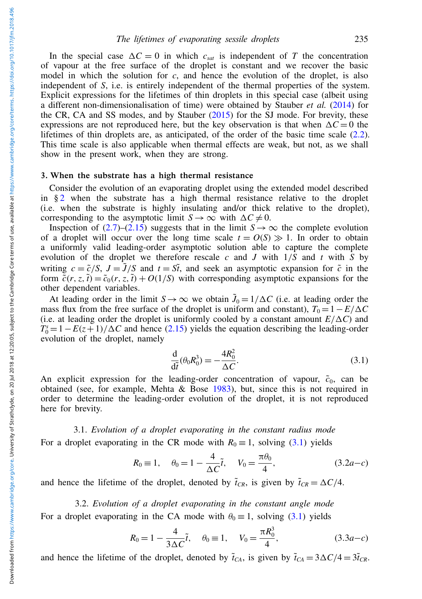In the special case  $\Delta C = 0$  in which  $c_{\text{sat}}$  is independent of *T* the concentration of vapour at the free surface of the droplet is constant and we recover the basic model in which the solution for *c*, and hence the evolution of the droplet, is also independent of *S*, i.e. is entirely independent of the thermal properties of the system. Explicit expressions for the lifetimes of thin droplets in this special case (albeit using a different non-dimensionalisation of time) were obtained by Stauber *et al.* [\(2014\)](#page-13-3) for the CR, CA and SS modes, and by Stauber [\(2015\)](#page-13-6) for the SJ mode. For brevity, these expressions are not reproduced here, but the key observation is that when  $\Delta C = 0$  the lifetimes of thin droplets are, as anticipated, of the order of the basic time scale [\(2.2\)](#page-2-3). This time scale is also applicable when thermal effects are weak, but not, as we shall show in the present work, when they are strong.

#### <span id="page-4-3"></span>3. When the substrate has a high thermal resistance

Consider the evolution of an evaporating droplet using the extended model described in  $§$  [2](#page-1-1) when the substrate has a high thermal resistance relative to the droplet (i.e. when the substrate is highly insulating and/or thick relative to the droplet), corresponding to the asymptotic limit  $S \to \infty$  with  $\Delta C \neq 0$ .

Inspection of  $(2.7)$ – $(2.15)$  suggests that in the limit *S* → ∞ the complete evolution of a droplet will occur over the long time scale  $t = O(S) \gg 1$ . In order to obtain a uniformly valid leading-order asymptotic solution able to capture the complete evolution of the droplet we therefore rescale *c* and *J* with  $1/\overline{S}$  and *t* with  $\overline{S}$  by writing  $c = \tilde{c}/S$ ,  $J = \tilde{J}/S$  and  $t = S\tilde{t}$ , and seek an asymptotic expansion for  $\tilde{c}$  in the form  $\tilde{c}(r, z, \tilde{t}) = \tilde{c}_0(r, z, \tilde{t}) + O(1/S)$  with corresponding asymptotic expansions for the other dependent variables.

At leading order in the limit  $S \to \infty$  we obtain  $\tilde{J}_0 = 1/\Delta C$  (i.e. at leading order the mass flux from the free surface of the droplet is uniform and constant),  $T_0 = 1 - E/\Delta C$ (i.e. at leading order the droplet is uniformly cooled by a constant amount  $E/\Delta C$ ) and  $T_0^s = 1 - E(z+1)/\Delta C$  and hence [\(2.15\)](#page-3-2) yields the equation describing the leading-order evolution of the droplet, namely

<span id="page-4-0"></span>
$$
\frac{\mathrm{d}}{\mathrm{d}\tilde{t}}(\theta_0 R_0^3) = -\frac{4R_0^2}{\Delta C}.\tag{3.1}
$$

An explicit expression for the leading-order concentration of vapour,  $\tilde{c}_0$ , can be obtained (see, for example, Mehta & Bose [1983\)](#page-13-12), but, since this is not required in order to determine the leading-order evolution of the droplet, it is not reproduced here for brevity.

3.1. *Evolution of a droplet evaporating in the constant radius mode* For a droplet evaporating in the CR mode with  $R_0 \equiv 1$ , solving [\(3.1\)](#page-4-0) yields

<span id="page-4-1"></span>
$$
R_0 \equiv 1, \quad \theta_0 = 1 - \frac{4}{\Delta C} \tilde{t}, \quad V_0 = \frac{\pi \theta_0}{4},
$$
 (3.2*a*-*c*)

and hence the lifetime of the droplet, denoted by  $\tilde{t}_{CR}$ , is given by  $\tilde{t}_{CR} = \Delta C/4$ .

## 3.2. *Evolution of a droplet evaporating in the constant angle mode*

For a droplet evaporating in the CA mode with  $\theta_0 \equiv 1$ , solving [\(3.1\)](#page-4-0) yields

<span id="page-4-2"></span>
$$
R_0 = 1 - \frac{4}{3\Delta C}\tilde{t}, \quad \theta_0 = 1, \quad V_0 = \frac{\pi R_0^3}{4}, \quad (3.3a - c)
$$

and hence the lifetime of the droplet, denoted by  $\tilde{t}_{CA}$ , is given by  $\tilde{t}_{CA} = 3\Delta C/4 = 3\tilde{t}_{CR}$ .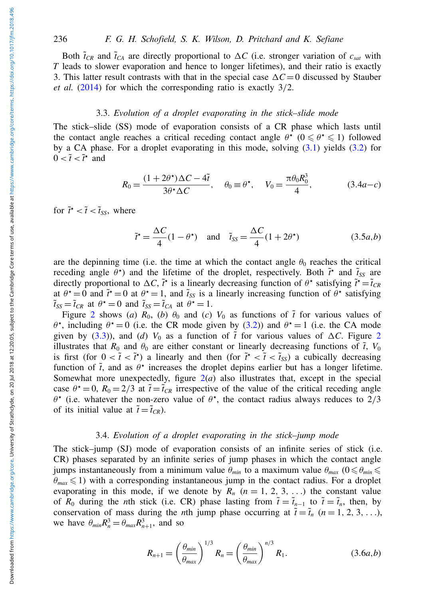Both  $\tilde{t}_{CR}$  and  $\tilde{t}_{CA}$  are directly proportional to  $\Delta C$  (i.e. stronger variation of  $c_{sat}$  with *T* leads to slower evaporation and hence to longer lifetimes), and their ratio is exactly 3. This latter result contrasts with that in the special case  $\Delta C = 0$  discussed by Stauber *et al.* [\(2014\)](#page-13-3) for which the corresponding ratio is exactly 3/2.

## 3.3. *Evolution of a droplet evaporating in the stick–slide mode*

The stick–slide (SS) mode of evaporation consists of a CR phase which lasts until the contact angle reaches a critical receding contact angle  $\theta^*$  ( $0 \le \theta^* \le 1$ ) followed by a CA phase. For a droplet evaporating in this mode, solving [\(3.1\)](#page-4-0) yields [\(3.2\)](#page-4-1) for  $0 < \tilde{t} < \tilde{t}^{\star}$  and

$$
R_0 = \frac{(1+2\theta^*)\Delta C - 4\tilde{t}}{3\theta^*\Delta C}, \quad \theta_0 \equiv \theta^*, \quad V_0 = \frac{\pi\theta_0 R_0^3}{4}, \quad (3.4a-c)
$$

for  $\tilde{t} \cdot \tilde{t} < \tilde{t} < \tilde{t}_{SS}$ , where

$$
\tilde{t}^* = \frac{\Delta C}{4} (1 - \theta^*) \quad \text{and} \quad \tilde{t}_{SS} = \frac{\Delta C}{4} (1 + 2\theta^*) \tag{3.5a,b}
$$

are the depinning time (i.e. the time at which the contact angle  $\theta_0$  reaches the critical receding angle  $\theta^*$ ) and the lifetime of the droplet, respectively. Both  $\tilde{t}^*$  and  $\tilde{t}_{SS}$  are directly proportional to  $\Delta C$ ,  $\tilde{t}$ <sup>\*</sup> is a linearly decreasing function of  $\theta$ <sup>\*</sup> satisfying  $\tilde{t}$ <sup>\*</sup> =  $\tilde{t}_{CR}$ at  $\theta^* = 0$  and  $\tilde{t}^* = 0$  at  $\theta^* = 1$ , and  $\tilde{t}_{SS}$  is a linearly increasing function of  $\theta^*$  satisfying  $\tilde{\tau}_{SS} = \tilde{\tau}_{CR}$  at  $\theta^* = 0$  and  $\tilde{\tau}_{SS} = \tilde{\tau}_{CA}$  at  $\theta^* = 1$ .

Figure [2](#page-6-0) shows (*a*)  $R_0$ , (*b*)  $\theta_0$  and (*c*)  $V_0$  as functions of  $\tilde{t}$  for various values of  $\theta^*$ , including  $\theta^* = 0$  (i.e. the CR mode given by [\(3.2\)](#page-4-1)) and  $\theta^* = 1$  (i.e. the CA mode given by [\(3.3\)](#page-4-2)), and (*d*)  $V_0$  as a function of  $\tilde{t}$  for various values of  $\Delta C$ . Figure [2](#page-6-0) illustrates that  $R_0$  and  $\theta_0$  are either constant or linearly decreasing functions of  $\tilde{t}$ ,  $V_0$ is first (for  $0 < \tilde{t} < \tilde{t}$ <sup>\*</sup>) a linearly and then (for  $\tilde{t}$ <sup>\*</sup> <  $\tilde{t} < \tilde{t}$ <sub>SS</sub>) a cubically decreasing function of  $\tilde{t}$ , and as  $\theta^*$  increases the droplet depins earlier but has a longer lifetime. Somewhat more unexpectedly, figure  $2(a)$  $2(a)$  also illustrates that, except in the special case  $\theta^* = 0$ ,  $R_0 = 2/3$  at  $\tilde{t} = \tilde{t}_{CR}$  irrespective of the value of the critical receding angle  $\theta^*$  (i.e. whatever the non-zero value of  $\theta^*$ , the contact radius always reduces to 2/3 of its initial value at  $\tilde{t} = \tilde{t}_{CR}$ ).

#### 3.4. *Evolution of a droplet evaporating in the stick–jump mode*

The stick–jump (SJ) mode of evaporation consists of an infinite series of stick (i.e. CR) phases separated by an infinite series of jump phases in which the contact angle jumps instantaneously from a minimum value  $\theta_{min}$  to a maximum value  $\theta_{max}$  ( $0 \le \theta_{min} \le$  $\theta_{max} \leq 1$ ) with a corresponding instantaneous jump in the contact radius. For a droplet evaporating in this mode, if we denote by  $R_n$  ( $n = 1, 2, 3, ...$ ) the constant value of  $R_0$  during the *n*th stick (i.e. CR) phase lasting from  $\tilde{t} = \tilde{t}_{n-1}$  to  $\tilde{t} = \tilde{t}_n$ , then, by conservation of mass during the *n*th jump phase occurring at  $\tilde{t} = \tilde{t}_n$  ( $n = 1, 2, 3, \ldots$ ), we have  $\theta_{min} R_n^3 = \theta_{max} R_{n+1}^3$ , and so

<span id="page-5-0"></span>
$$
R_{n+1} = \left(\frac{\theta_{min}}{\theta_{max}}\right)^{1/3} R_n = \left(\frac{\theta_{min}}{\theta_{max}}\right)^{n/3} R_1.
$$
 (3.6*a*,*b*)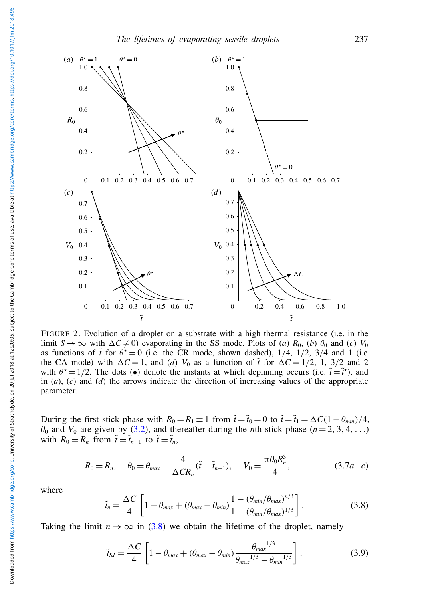<span id="page-6-0"></span>

FIGURE 2. Evolution of a droplet on a substrate with a high thermal resistance (i.e. in the limit *S* → ∞ with  $\Delta C \neq 0$ ) evaporating in the SS mode. Plots of (*a*)  $R_0$ , (*b*)  $\theta_0$  and (*c*)  $V_0$ as functions of  $\tilde{t}$  for  $\theta^* = 0$  (i.e. the CR mode, shown dashed),  $1/4$ ,  $1/2$ ,  $3/4$  and 1 (i.e. the CA mode) with  $\Delta C = 1$ , and (*d*)  $V_0$  as a function of  $\tilde{t}$  for  $\Delta C = 1/2$ , 1, 3/2 and 2 with  $\theta^* = 1/2$ . The dots (•) denote the instants at which depinning occurs (i.e.  $\tilde{t} = \tilde{t}^*$ ), and in (*a*), (*c*) and (*d*) the arrows indicate the direction of increasing values of the appropriate parameter.

During the first stick phase with  $R_0 = R_1 \equiv 1$  from  $\tilde{t} = \tilde{t}_0 = 0$  to  $\tilde{t} = \tilde{t}_1 = \Delta C (1 - \theta_{min})/4$ ,  $\theta_0$  and  $V_0$  are given by [\(3.2\)](#page-4-1), and thereafter during the *n*th stick phase ( $n = 2, 3, 4, ...$ ) with  $R_0 = R_n$  from  $\tilde{t} = \tilde{t}_{n-1}$  to  $\tilde{t} = \tilde{t}_n$ ,

$$
R_0 = R_n, \quad \theta_0 = \theta_{max} - \frac{4}{\Delta CR_n} (\tilde{t} - \tilde{t}_{n-1}), \quad V_0 = \frac{\pi \theta_0 R_n^3}{4}, \quad (3.7a - c)
$$

where

<span id="page-6-1"></span>
$$
\tilde{t}_n = \frac{\Delta C}{4} \left[ 1 - \theta_{\text{max}} + (\theta_{\text{max}} - \theta_{\text{min}}) \frac{1 - (\theta_{\text{min}}/\theta_{\text{max}})^{n/3}}{1 - (\theta_{\text{min}}/\theta_{\text{max}})^{1/3}} \right].
$$
\n(3.8)

Taking the limit  $n \to \infty$  in [\(3.8\)](#page-6-1) we obtain the lifetime of the droplet, namely

$$
\tilde{t}_{SJ} = \frac{\Delta C}{4} \left[ 1 - \theta_{max} + (\theta_{max} - \theta_{min}) \frac{\theta_{max}^{1/3}}{\theta_{max}^{1/3} - \theta_{min}^{1/3}} \right].
$$
\n(3.9)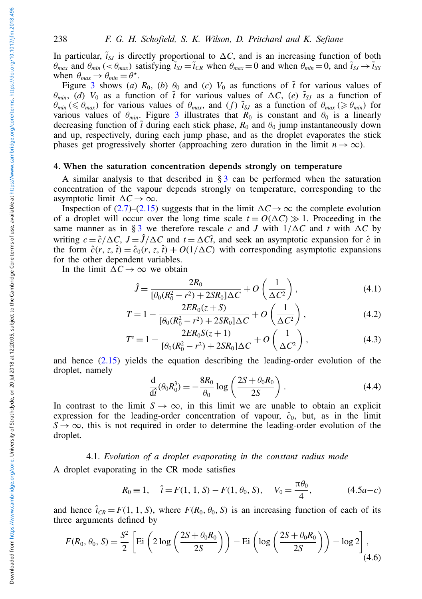In particular,  $\tilde{t}_{SJ}$  is directly proportional to  $\Delta C$ , and is an increasing function of both  $\theta_{max}$  and  $\theta_{min}$  (<  $\theta_{max}$ ) satisfying  $\tilde{t}_{SI} = \tilde{t}_{CR}$  when  $\theta_{max} = 0$  and when  $\theta_{min} = 0$ , and  $\tilde{t}_{SI} \rightarrow \tilde{t}_{SS}$ when  $\theta_{max} \rightarrow \theta_{min} = \theta^*$ .

Figure [3](#page-8-0) shows (*a*)  $R_0$ , (*b*)  $\theta_0$  and (*c*)  $V_0$  as functions of  $\tilde{t}$  for various values of  $\theta_{min}$ , (*d*)  $V_0$  as a function of  $\tilde{t}$  for various values of  $\Delta C$ , (*e*)  $\tilde{t}_{SI}$  as a function of  $\theta_{min}$  ( $\leq \theta_{max}$ ) for various values of  $\theta_{max}$ , and (*f*)  $\tilde{t}_{SJ}$  as a function of  $\theta_{max}$  ( $\geq \theta_{min}$ ) for various values of  $\theta_{min}$ . Figure [3](#page-8-0) illustrates that  $R_0$  is constant and  $\theta_0$  is a linearly decreasing function of  $\tilde{t}$  during each stick phase,  $R_0$  and  $\theta_0$  jump instantaneously down and up, respectively, during each jump phase, and as the droplet evaporates the stick phases get progressively shorter (approaching zero duration in the limit  $n \to \infty$ ).

## 4. When the saturation concentration depends strongly on temperature

A similar analysis to that described in  $\S$ [3](#page-4-3) can be performed when the saturation concentration of the vapour depends strongly on temperature, corresponding to the asymptotic limit  $\Delta C \rightarrow \infty$ .

Inspection of [\(2.7\)](#page-3-0)–[\(2.15\)](#page-3-2) suggests that in the limit  $\Delta C \rightarrow \infty$  the complete evolution of a droplet will occur over the long time scale  $t = O(\Delta C) \gg 1$ . Proceeding in the same manner as in § [3](#page-4-3) we therefore rescale *c* and *J* with  $1/\Delta C$  and *t* with  $\Delta C$  by writing  $c = \hat{c}/\Delta C$ ,  $J = \hat{J}/\Delta C$  and  $t = \Delta C \hat{t}$ , and seek an asymptotic expansion for  $\hat{c}$  in the form  $\hat{c}(r, z, \hat{t}) = \hat{c}_0(r, z, \hat{t}) + O(1/\Delta C)$  with corresponding asymptotic expansions for the other dependent variables.

In the limit  $\Delta C \rightarrow \infty$  we obtain

$$
\hat{J} = \frac{2R_0}{[\theta_0(R_0^2 - r^2) + 2SR_0]\Delta C} + O\left(\frac{1}{\Delta C^2}\right),\tag{4.1}
$$

$$
T = 1 - \frac{2ER_0(z+S)}{[\theta_0(R_0^2 - r^2) + 2SR_0]\Delta C} + O\left(\frac{1}{\Delta C^2}\right),
$$
\n(4.2)

$$
T^{s} = 1 - \frac{2ER_{0}S(z+1)}{[\theta_{0}(R_{0}^{2} - r^{2}) + 2SR_{0}]\Delta C} + O\left(\frac{1}{\Delta C^{2}}\right),
$$
\n(4.3)

and hence [\(2.15\)](#page-3-2) yields the equation describing the leading-order evolution of the droplet, namely

$$
\frac{\mathrm{d}}{\mathrm{d}\hat{i}}(\theta_0 R_0^3) = -\frac{8R_0}{\theta_0} \log \left( \frac{2S + \theta_0 R_0}{2S} \right). \tag{4.4}
$$

In contrast to the limit  $S \to \infty$ , in this limit we are unable to obtain an explicit expression for the leading-order concentration of vapour,  $\hat{c}_0$ , but, as in the limit  $S \rightarrow \infty$ , this is not required in order to determine the leading-order evolution of the droplet.

## 4.1. *Evolution of a droplet evaporating in the constant radius mode*

A droplet evaporating in the CR mode satisfies

<span id="page-7-0"></span>
$$
R_0 \equiv 1, \quad \hat{\imath} = F(1, 1, S) - F(1, \theta_0, S), \quad V_0 = \frac{\pi \theta_0}{4},
$$
 (4.5*a*-*c*)

and hence  $\hat{\tau}_{CR} = F(1, 1, S)$ , where  $F(R_0, \theta_0, S)$  is an increasing function of each of its three arguments defined by

<span id="page-7-1"></span>
$$
F(R_0, \theta_0, S) = \frac{S^2}{2} \left[ \mathrm{Ei} \left( 2 \log \left( \frac{2S + \theta_0 R_0}{2S} \right) \right) - \mathrm{Ei} \left( \log \left( \frac{2S + \theta_0 R_0}{2S} \right) \right) - \log 2 \right], \tag{4.6}
$$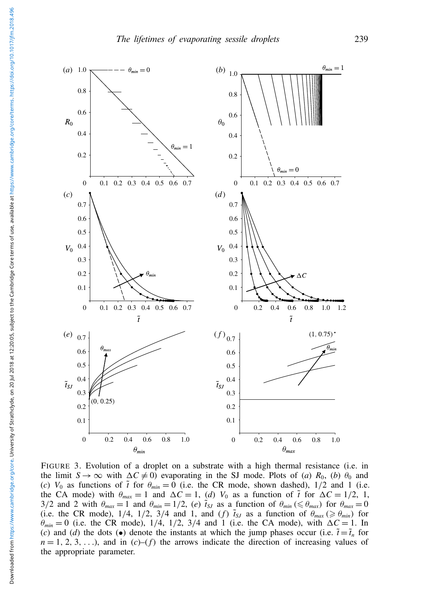<span id="page-8-0"></span>

FIGURE 3. Evolution of a droplet on a substrate with a high thermal resistance (i.e. in the limit  $S \to \infty$  with  $\Delta C \neq 0$ ) evaporating in the SJ mode. Plots of (*a*)  $R_0$ , (*b*)  $\theta_0$  and (*c*)  $V_0$  as functions of  $\tilde{t}$  for  $\theta_{min} = 0$  (i.e. the CR mode, shown dashed),  $1/2$  and 1 (i.e. the CA mode) with  $\theta_{max} = 1$  and  $\Delta C = 1$ , (*d*)  $V_0$  as a function of  $\tilde{t}$  for  $\Delta C = 1/2$ , 1, 3/2 and 2 with  $\theta_{max} = 1$  and  $\theta_{min} = 1/2$ , (*e*)  $\tilde{t}_{SJ}$  as a function of  $\theta_{min} \leq \theta_{max}$  for  $\theta_{max} = 0$ (i.e. the CR mode),  $1/4$ ,  $1/2$ ,  $3/4$  and 1, and (*f*)  $\tilde{t}_{SJ}$  as a function of  $\theta_{max} \ge \theta_{min}$  for  $\theta_{min} = 0$  (i.e. the CR mode),  $1/4$ ,  $1/2$ ,  $3/4$  and 1 (i.e. the CA mode), with  $\Delta C = 1$ . In (*c*) and (*d*) the dots (•) denote the instants at which the jump phases occur (i.e.  $\tilde{t} = \tilde{t}_n$  for  $n = 1, 2, 3, \ldots$ ), and in (*c*)–(*f*) the arrows indicate the direction of increasing values of the appropriate parameter.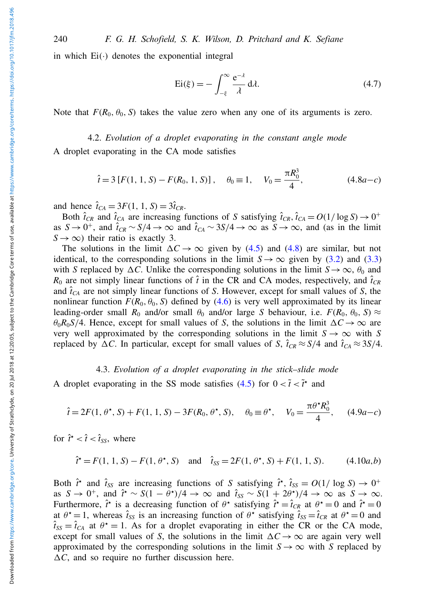in which  $Ei(\cdot)$  denotes the exponential integral

$$
Ei(\xi) = -\int_{-\xi}^{\infty} \frac{e^{-\lambda}}{\lambda} d\lambda.
$$
 (4.7)

Note that  $F(R_0, \theta_0, S)$  takes the value zero when any one of its arguments is zero.

4.2. *Evolution of a droplet evaporating in the constant angle mode* A droplet evaporating in the CA mode satisfies

<span id="page-9-0"></span>
$$
\hat{t} = 3 [F(1, 1, S) - F(R_0, 1, S)], \quad \theta_0 \equiv 1, \quad V_0 = \frac{\pi R_0^3}{4},
$$
\n(4.8*a*-*c*)

and hence  $\hat{t}_{CA} = 3F(1, 1, S) = 3\hat{t}_{CR}$ .

Both  $\hat{t}_{CR}$  and  $\hat{t}_{CA}$  are increasing functions of *S* satisfying  $\hat{t}_{CR}$ ,  $\hat{t}_{CA} = O(1/\log S) \rightarrow 0^+$ as  $S \to 0^+$ , and  $\hat{t}_{CR} \sim S/4 \to \infty$  and  $\hat{t}_{CA} \sim 3S/4 \to \infty$  as  $S \to \infty$ , and (as in the limit  $S \rightarrow \infty$ ) their ratio is exactly 3.

The solutions in the limit  $\Delta C \rightarrow \infty$  given by [\(4.5\)](#page-7-0) and [\(4.8\)](#page-9-0) are similar, but not identical, to the corresponding solutions in the limit  $S \to \infty$  given by [\(3.2\)](#page-4-1) and [\(3.3\)](#page-4-2) with *S* replaced by  $\Delta C$ . Unlike the corresponding solutions in the limit  $S \rightarrow \infty$ ,  $\theta_0$  and  $R_0$  are not simply linear functions of  $\hat{t}$  in the CR and CA modes, respectively, and  $\hat{t}_{CR}$ and  $\hat{\tau}_{CA}$  are not simply linear functions of *S*. However, except for small values of *S*, the nonlinear function  $F(R_0, \theta_0, S)$  defined by [\(4.6\)](#page-7-1) is very well approximated by its linear leading-order small  $R_0$  and/or small  $\theta_0$  and/or large *S* behaviour, i.e.  $F(R_0, \theta_0, S) \approx$  $\theta_0 R_0 S/4$ . Hence, except for small values of *S*, the solutions in the limit  $\Delta C \rightarrow \infty$  are very well approximated by the corresponding solutions in the limit  $S \to \infty$  with *S* replaced by  $\Delta C$ . In particular, except for small values of *S*,  $\hat{t}_{CR} \approx S/4$  and  $\hat{t}_{CA} \approx 3S/4$ .

## 4.3. *Evolution of a droplet evaporating in the stick–slide mode*

A droplet evaporating in the SS mode satisfies [\(4.5\)](#page-7-0) for  $0 < \tilde{t} < \tilde{t}^*$  and

$$
\hat{t} = 2F(1, \theta^*, S) + F(1, 1, S) - 3F(R_0, \theta^*, S), \quad \theta_0 \equiv \theta^*, \quad V_0 = \frac{\pi \theta^* R_0^3}{4}, \quad (4.9a - c)
$$

for  $\hat{t} \cdot \langle \hat{t} \rangle < \hat{t}_{SS}$ , where

$$
\hat{\mathbf{t}}^* = F(1, 1, S) - F(1, \theta^*, S) \quad \text{and} \quad \hat{\mathbf{t}}_{SS} = 2F(1, \theta^*, S) + F(1, 1, S). \tag{4.10a,b}
$$

Both  $\hat{t}$ <sup>\*</sup> and  $\hat{t}_{SS}$  are increasing functions of *S* satisfying  $\hat{t}$ <sup>\*</sup>,  $\hat{t}_{SS} = O(1/\log S) \rightarrow 0^+$ as  $S \to 0^+$ , and  $\hat{t} \sim S(1 - \theta^*)/4 \to \infty$  and  $\hat{t}_{SS} \sim S(1 + 2\theta^*)/4 \to \infty$  as  $S \to \infty$ . Furthermore,  $\hat{i}$ <sup>\*</sup> is a decreasing function of  $\theta$ <sup>\*</sup> satisfying  $\hat{i}$ <sup>\*</sup> =  $\hat{i}_{CR}$  at  $\theta$ <sup>\*</sup> = 0 and  $\hat{i}$ <sup>\*</sup> = 0 at  $\theta^* = 1$ , whereas  $\hat{t}_{SS}$  is an increasing function of  $\theta^*$  satisfying  $\hat{t}_{SS} = \hat{t}_{CR}$  at  $\theta^* = 0$  and  $\hat{t}_{SS} = \hat{t}_{CA}$  at  $\theta^* = 1$ . As for a droplet evaporating in either the CR or the CA mode, except for small values of *S*, the solutions in the limit  $\Delta C \rightarrow \infty$  are again very well approximated by the corresponding solutions in the limit  $S \rightarrow \infty$  with *S* replaced by  $\Delta C$ , and so require no further discussion here.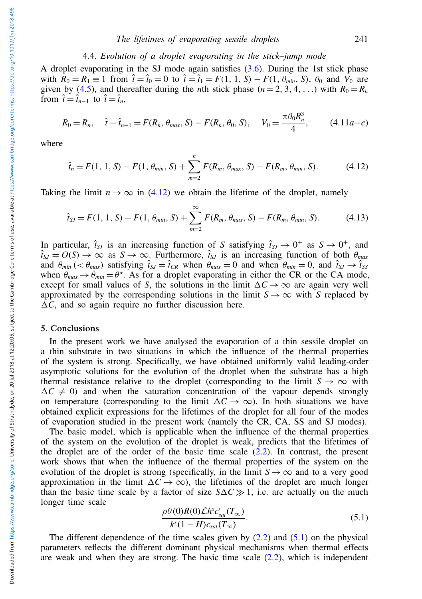## 4.4. *Evolution of a droplet evaporating in the stick–jump mode*

A droplet evaporating in the SJ mode again satisfies  $(3.6)$ . During the 1st stick phase with  $\hat{R}_0 = R_1 \equiv 1$  from  $\hat{t} = \hat{t}_0 = 0$  to  $\hat{t} = \hat{t}_1 = F(1, 1, S) - F(1, \theta_{min}, S)$ ,  $\theta_0$  and  $\hat{V}_0$  are given by [\(4.5\)](#page-7-0), and thereafter during the *n*th stick phase  $(n = 2, 3, 4, ...)$  with  $R_0 = R_n$ from  $\hat{t} = \hat{t}_{n-1}$  to  $\hat{t} = \hat{t}_n$ ,

$$
R_0 = R_n, \quad \hat{t} - \hat{t}_{n-1} = F(R_n, \theta_{max}, S) - F(R_n, \theta_0, S), \quad V_0 = \frac{\pi \theta_0 R_n^3}{4}, \quad (4.11a - c)
$$

where

<span id="page-10-0"></span>
$$
\hat{t}_n = F(1, 1, S) - F(1, \theta_{min}, S) + \sum_{m=2}^n F(R_m, \theta_{max}, S) - F(R_m, \theta_{min}, S). \tag{4.12}
$$

Taking the limit  $n \to \infty$  in [\(4.12\)](#page-10-0) we obtain the lifetime of the droplet, namely

$$
\hat{t}_{SJ} = F(1, 1, S) - F(1, \theta_{min}, S) + \sum_{m=2}^{\infty} F(R_m, \theta_{max}, S) - F(R_m, \theta_{min}, S). \tag{4.13}
$$

In particular,  $\hat{t}_{SJ}$  is an increasing function of *S* satisfying  $\hat{t}_{SJ} \to 0^+$  as  $S \to 0^+$ , and  $\hat{t}_{SJ} = O(S) \rightarrow \infty$  as  $S \rightarrow \infty$ . Furthermore,  $\hat{t}_{SJ}$  is an increasing function of both  $\theta_{max}$ and  $\theta_{min}$  (<  $\theta_{max}$ ) satisfying  $\hat{t}_{SJ} = \hat{t}_{CR}$  when  $\theta_{max} = 0$  and when  $\theta_{min} = 0$ , and  $\hat{t}_{SJ} \rightarrow \hat{t}_{SS}$ when  $\theta_{max} \rightarrow \theta_{min} = \theta^*$ . As for a droplet evaporating in either the CR or the CA mode, except for small values of *S*, the solutions in the limit  $\Delta C \rightarrow \infty$  are again very well approximated by the corresponding solutions in the limit  $S \rightarrow \infty$  with *S* replaced by  $\Delta C$ , and so again require no further discussion here.

## 5. Conclusions

In the present work we have analysed the evaporation of a thin sessile droplet on a thin substrate in two situations in which the influence of the thermal properties of the system is strong. Specifically, we have obtained uniformly valid leading-order asymptotic solutions for the evolution of the droplet when the substrate has a high thermal resistance relative to the droplet (corresponding to the limit  $S \to \infty$  with  $\Delta C \neq 0$ ) and when the saturation concentration of the vapour depends strongly on temperature (corresponding to the limit  $\Delta C \rightarrow \infty$ ). In both situations we have obtained explicit expressions for the lifetimes of the droplet for all four of the modes of evaporation studied in the present work (namely the CR, CA, SS and SJ modes).

The basic model, which is applicable when the influence of the thermal properties of the system on the evolution of the droplet is weak, predicts that the lifetimes of the droplet are of the order of the basic time scale  $(2.2)$ . In contrast, the present work shows that when the influence of the thermal properties of the system on the evolution of the droplet is strong (specifically, in the limit  $S \rightarrow \infty$  and to a very good approximation in the limit  $\Delta C \rightarrow \infty$ ), the lifetimes of the droplet are much longer than the basic time scale by a factor of size  $S \Delta C \gg 1$ , i.e. are actually on the much longer time scale

<span id="page-10-1"></span>
$$
\frac{\rho\theta(0)R(0)\mathcal{L}h^s c'_{sat}(T_{\infty})}{k^s(1-H)c_{sat}(T_{\infty})}.
$$
\n(5.1)

The different dependence of the time scales given by  $(2.2)$  and  $(5.1)$  on the physical parameters reflects the different dominant physical mechanisms when thermal effects are weak and when they are strong. The basic time scale  $(2.2)$ , which is independent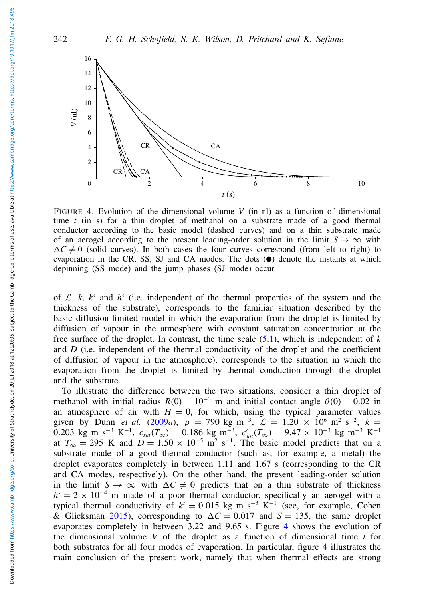<span id="page-11-0"></span>

FIGURE 4. Evolution of the dimensional volume  $V$  (in nl) as a function of dimensional time *t* (in s) for a thin droplet of methanol on a substrate made of a good thermal conductor according to the basic model (dashed curves) and on a thin substrate made of an aerogel according to the present leading-order solution in the limit  $S \to \infty$  with  $\Delta C \neq 0$  (solid curves). In both cases the four curves correspond (from left to right) to evaporation in the CR, SS, SJ and CA modes. The dots  $\circledbullet$  denote the instants at which depinning (SS mode) and the jump phases (SJ mode) occur.

of  $\mathcal{L}$ ,  $k$ ,  $k^s$  and  $h^s$  (i.e. independent of the thermal properties of the system and the thickness of the substrate), corresponds to the familiar situation described by the basic diffusion-limited model in which the evaporation from the droplet is limited by diffusion of vapour in the atmosphere with constant saturation concentration at the free surface of the droplet. In contrast, the time scale [\(5.1\)](#page-10-1), which is independent of *k* and *D* (i.e. independent of the thermal conductivity of the droplet and the coefficient of diffusion of vapour in the atmosphere), corresponds to the situation in which the evaporation from the droplet is limited by thermal conduction through the droplet and the substrate.

To illustrate the difference between the two situations, consider a thin droplet of methanol with initial radius  $R(0) = 10^{-3}$  m and initial contact angle  $\theta(0) = 0.02$  in an atmosphere of air with  $H = 0$ , for which, using the typical parameter values given by Dunn *et al.* [\(2009](#page-12-7)*a*),  $\rho = 790 \text{ kg m}^{-3}$ ,  $\mathcal{L} = 1.20 \times 10^6 \text{ m}^2 \text{ s}^{-2}$ ,  $k =$ 0.203 kg m s<sup>-3</sup> K<sup>-1</sup>,  $c_{sat}(T_{\infty}) = 0.186$  kg m<sup>-3</sup>,  $c'_{sat}(T_{\infty}) = 9.47 \times 10^{-3}$  kg m<sup>-3</sup> K<sup>-1</sup> at  $T_{\infty} = 295$  K and  $D = 1.50 \times 10^{-5}$  m<sup>2</sup> s<sup>-1</sup>. The basic model predicts that on a substrate made of a good thermal conductor (such as, for example, a metal) the droplet evaporates completely in between 1.11 and 1.67 s (corresponding to the CR and CA modes, respectively). On the other hand, the present leading-order solution in the limit  $S \to \infty$  with  $\Delta C \neq 0$  predicts that on a thin substrate of thickness  $h^s = 2 \times 10^{-4}$  m made of a poor thermal conductor, specifically an aerogel with a typical thermal conductivity of  $k^s = 0.015$  kg m s<sup>-3</sup> K<sup>-1</sup> (see, for example, Cohen & Glicksman [2015\)](#page-12-11), corresponding to  $\Delta C = 0.017$  and  $S = 135$ , the same droplet evaporates completely in between 3.22 and 9.65 s. Figure [4](#page-11-0) shows the evolution of the dimensional volume *V* of the droplet as a function of dimensional time *t* for both substrates for all four modes of evaporation. In particular, figure [4](#page-11-0) illustrates the main conclusion of the present work, namely that when thermal effects are strong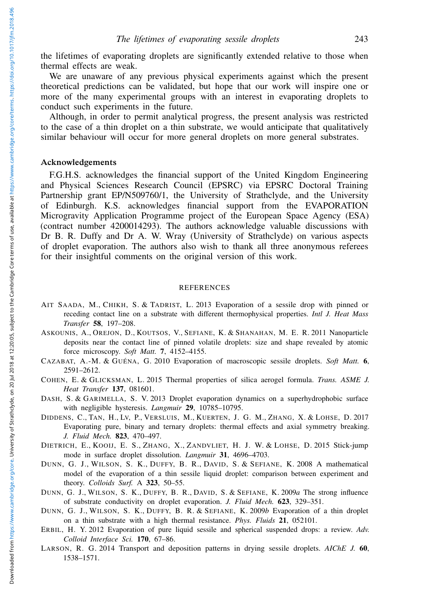the lifetimes of evaporating droplets are significantly extended relative to those when thermal effects are weak.

We are unaware of any previous physical experiments against which the present theoretical predictions can be validated, but hope that our work will inspire one or more of the many experimental groups with an interest in evaporating droplets to conduct such experiments in the future.

Although, in order to permit analytical progress, the present analysis was restricted to the case of a thin droplet on a thin substrate, we would anticipate that qualitatively similar behaviour will occur for more general droplets on more general substrates.

## Acknowledgements

F.G.H.S. acknowledges the financial support of the United Kingdom Engineering and Physical Sciences Research Council (EPSRC) via EPSRC Doctoral Training Partnership grant EP/N509760/1, the University of Strathclyde, and the University of Edinburgh. K.S. acknowledges financial support from the EVAPORATION Microgravity Application Programme project of the European Space Agency (ESA) (contract number 4200014293). The authors acknowledge valuable discussions with Dr B. R. Duffy and Dr A. W. Wray (University of Strathclyde) on various aspects of droplet evaporation. The authors also wish to thank all three anonymous referees for their insightful comments on the original version of this work.

### REFERENCES

- <span id="page-12-9"></span>AIT SAADA, M., CHIKH, S. & TADRIST, L. 2013 Evaporation of a sessile drop with pinned or receding contact line on a substrate with different thermophysical properties. *Intl J. Heat Mass Transfer* 58, 197–208.
- <span id="page-12-4"></span>ASKOUNIS, A., OREJON, D., KOUTSOS, V., SEFIANE, K. & SHANAHAN, M. E. R. 2011 Nanoparticle deposits near the contact line of pinned volatile droplets: size and shape revealed by atomic force microscopy. *Soft Matt.* 7, 4152–4155.
- <span id="page-12-0"></span>CAZABAT, A.-M. & GUÉNA, G. 2010 Evaporation of macroscopic sessile droplets. *Soft Matt.* 6, 2591–2612.
- <span id="page-12-11"></span>COHEN, E. & GLICKSMAN, L. 2015 Thermal properties of silica aerogel formula. *Trans. ASME J. Heat Transfer* 137, 081601.
- <span id="page-12-3"></span>DASH, S. & GARIMELLA, S. V. 2013 Droplet evaporation dynamics on a superhydrophobic surface with negligible hysteresis. *Langmuir* 29, 10785–10795.
- <span id="page-12-10"></span>DIDDENS, C., TAN, H., LV, P., VERSLUIS, M., KUERTEN, J. G. M., ZHANG, X. & LOHSE, D. 2017 Evaporating pure, binary and ternary droplets: thermal effects and axial symmetry breaking. *J. Fluid Mech.* 823, 470–497.
- <span id="page-12-5"></span>DIETRICH, E., KOOIJ, E. S., ZHANG, X., ZANDVLIET, H. J. W. & LOHSE, D. 2015 Stick-jump mode in surface droplet dissolution. *Langmuir* 31, 4696–4703.
- <span id="page-12-6"></span>DUNN, G. J., WILSON, S. K., DUFFY, B. R., DAVID, S. & SEFIANE, K. 2008 A mathematical model of the evaporation of a thin sessile liquid droplet: comparison between experiment and theory. *Colloids Surf.* A 323, 50–55.
- <span id="page-12-7"></span>DUNN, G. J., WILSON, S. K., DUFFY, B. R., DAVID, S. & SEFIANE, K. 2009*a* The strong influence of substrate conductivity on droplet evaporation. *J. Fluid Mech.* 623, 329–351.
- <span id="page-12-8"></span>DUNN, G. J., WILSON, S. K., DUFFY, B. R. & SEFIANE, K. 2009*b* Evaporation of a thin droplet on a thin substrate with a high thermal resistance. *Phys. Fluids* 21, 052101.
- <span id="page-12-1"></span>ERBIL, H. Y. 2012 Evaporation of pure liquid sessile and spherical suspended drops: a review. *Adv. Colloid Interface Sci.* 170, 67–86.
- <span id="page-12-2"></span>LARSON, R. G. 2014 Transport and deposition patterns in drying sessile droplets. *AIChE J.* 60, 1538–1571.